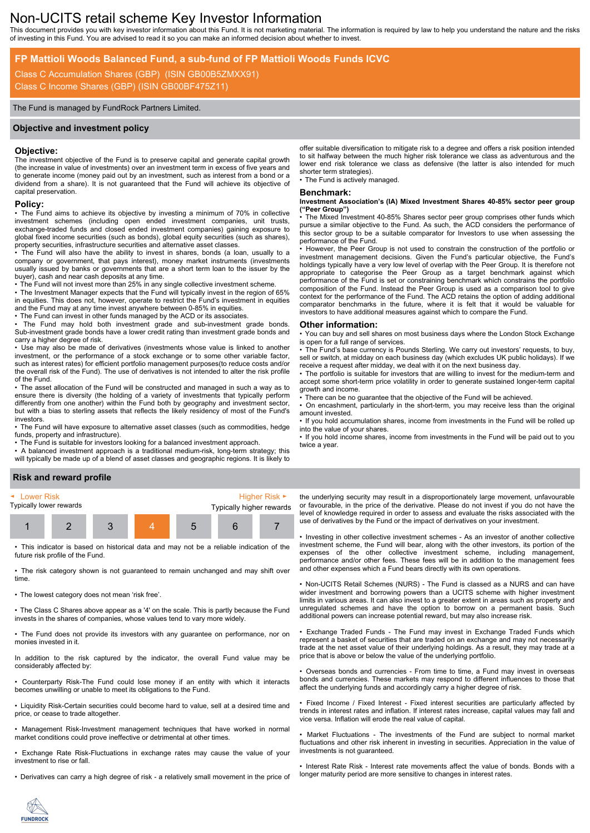# Non-UCITS retail scheme Key Investor Information

This document provides you with key investor information about this Fund. It is not marketing material. The information is required by law to help you understand the nature and the risks of investing in this Fund. You are advised to read it so you can make an informed decision about whether to invest.

# **FP Mattioli Woods Balanced Fund, a sub-fund of FP Mattioli Woods Funds ICVC**

Class C Accumulation Shares (GBP) (ISIN GB00B5ZMXX91) Class C Income Shares (GBP) (ISIN GB00BF475Z11)

#### The Fund is managed by FundRock Partners Limited.

#### **Objective and investment policy**

#### **Objective:**

The investment objective of the Fund is to preserve capital and generate capital growth (the increase in value of investments) over an investment term in excess of five years and to generate income (money paid out by an investment, such as interest from a bond or a dividend from a share). It is not guaranteed that the Fund will achieve its objective of capital preservation.

# **Policy:**

• The Fund aims to achieve its objective by investing a minimum of 70% in collective investment schemes (including open ended investment companies, unit trusts, exchange-traded funds and closed ended investment companies) gaining exposure to global fixed income securities (such as bonds), global equity securities (such as shares), property securities, infrastructure securities and alternative asset classes.

• The Fund will also have the ability to invest in shares, bonds (a loan, usually to a company or government, that pays interest), money market instruments (investments usually issued by banks or governments that are a short term loan to the issuer by the buyer), cash and near cash deposits at any time.

• The Fund will not invest more than 25% in any single collective investment scheme.

• The Investment Manager expects that the Fund will typically invest in the region of 65% in equities. This does not, however, operate to restrict the Fund's investment in equities and the Fund may at any time invest anywhere between 0-85% in equities.

• The Fund can invest in other funds managed by the ACD or its associates.

The Fund may hold both investment grade and sub-investment grade bonds. Sub-investment grade bonds have a lower credit rating than investment grade bonds and carry a higher degree of risk.

• Use may also be made of derivatives (investments whose value is linked to another investment, or the performance of a stock exchange or to some other variable factor, such as interest rates) for efficient portfolio management purposes(to reduce costs and/or the overall risk of the Fund). The use of derivatives is not intended to alter the risk profile of the Fund.

• The asset allocation of the Fund will be constructed and managed in such a way as to ensure there is diversity (the holding of a variety of investments that typically perform differently from one another) within the Fund both by geography and investment sector, but with a bias to sterling assets that reflects the likely residency of most of the Fund's investors.

• The Fund will have exposure to alternative asset classes (such as commodities, hedge funds, property and infrastructure).

• The Fund is suitable for investors looking for a balanced investment approach.

• A balanced investment approach is a traditional medium-risk, long-term strategy; this will typically be made up of a blend of asset classes and geographic regions. It is likely to

#### **Risk and reward profile**



• This indicator is based on historical data and may not be a reliable indication of the future risk profile of the Fund.

• The risk category shown is not guaranteed to remain unchanged and may shift over time.

• The lowest category does not mean 'risk free'.

• The Class C Shares above appear as a '4' on the scale. This is partly because the Fund invests in the shares of companies, whose values tend to vary more widely.

• The Fund does not provide its investors with any guarantee on performance, nor on monies invested in it.

In addition to the risk captured by the indicator, the overall Fund value may be considerably affected by:

• Counterparty Risk-The Fund could lose money if an entity with which it interacts becomes unwilling or unable to meet its obligations to the Fund.

• Liquidity Risk-Certain securities could become hard to value, sell at a desired time and price, or cease to trade altogether.

• Management Risk-Investment management techniques that have worked in normal market conditions could prove ineffective or detrimental at other times.

• Exchange Rate Risk-Fluctuations in exchange rates may cause the value of your investment to rise or fall.

• Derivatives can carry a high degree of risk - a relatively small movement in the price of

offer suitable diversification to mitigate risk to a degree and offers a risk position intended to sit halfway between the much higher risk tolerance we class as adventurous and the lower end risk tolerance we class as defensive (the latter is also intended for much shorter term strategies).

• The Fund is actively managed.

### **Benchmark:**

#### **Investment Association's (IA) Mixed Investment Shares 40-85% sector peer group ("Peer Group")**

• The Mixed Investment 40-85% Shares sector peer group comprises other funds which pursue a similar objective to the Fund. As such, the ACD considers the performance of this sector group to be a suitable comparator for Investors to use when assessing the performance of the Fund.

• However, the Peer Group is not used to constrain the construction of the portfolio or investment management decisions. Given the Fund's particular objective, the Fund's holdings typically have a very low level of overlap with the Peer Group. It is therefore not appropriate to categorise the Peer Group as a target benchmark against which performance of the Fund is set or constraining benchmark which constrains the portfolio composition of the Fund. Instead the Peer Group is used as a comparison tool to give context for the performance of the Fund. The ACD retains the option of adding additional comparator benchmarks in the future, where it is felt that it would be valuable for investors to have additional measures against which to compare the Fund.

#### **Other information:**

• You can buy and sell shares on most business days where the London Stock Exchange is open for a full range of services.

• The Fund's base currency is Pounds Sterling. We carry out investors' requests, to buy, sell or switch, at midday on each business day (which excludes UK public holidays). If we receive a request after midday, we deal with it on the next business day.

The portfolio is suitable for investors that are willing to invest for the medium-term and accept some short-term price volatility in order to generate sustained longer-term capital growth and income.

There can be no quarantee that the objective of the Fund will be achieved.

• On encashment, particularly in the short-term, you may receive less than the original amount invested.

• If you hold accumulation shares, income from investments in the Fund will be rolled up into the value of your shares.

• If you hold income shares, income from investments in the Fund will be paid out to you twice a year.

the underlying security may result in a disproportionately large movement, unfavourable or favourable, in the price of the derivative. Please do not invest if you do not have the level of knowledge required in order to assess and evaluate the risks associated with the use of derivatives by the Fund or the impact of derivatives on your investment.

• Investing in other collective investment schemes - As an investor of another collective investment scheme, the Fund will bear, along with the other investors, its portion of the expenses of the other collective investment scheme, including management, performance and/or other fees. These fees will be in addition to the management fees and other expenses which a Fund bears directly with its own operations.

• Non-UCITS Retail Schemes (NURS) - The Fund is classed as a NURS and can have wider investment and borrowing powers than a UCITS scheme with higher investment limits in various areas. It can also invest to a greater extent in areas such as property and unregulated schemes and have the option to borrow on a permanent basis. Such additional powers can increase potential reward, but may also increase risk.

• Exchange Traded Funds - The Fund may invest in Exchange Traded Funds which represent a basket of securities that are traded on an exchange and may not necessarily trade at the net asset value of their underlying holdings. As a result, they may trade at a price that is above or below the value of the underlying portfolio.

• Overseas bonds and currencies - From time to time, a Fund may invest in overseas bonds and currencies. These markets may respond to different influences to those that affect the underlying funds and accordingly carry a higher degree of risk.

• Fixed Income / Fixed Interest - Fixed interest securities are particularly affected by trends in interest rates and inflation. If interest rates increase, capital values may fall and vice versa. Inflation will erode the real value of capital.

• Market Fluctuations - The investments of the Fund are subject to normal market fluctuations and other risk inherent in investing in securities. Appreciation in the value of investments is not guaranteed.

• Interest Rate Risk - Interest rate movements affect the value of bonds. Bonds with a longer maturity period are more sensitive to changes in interest rates.